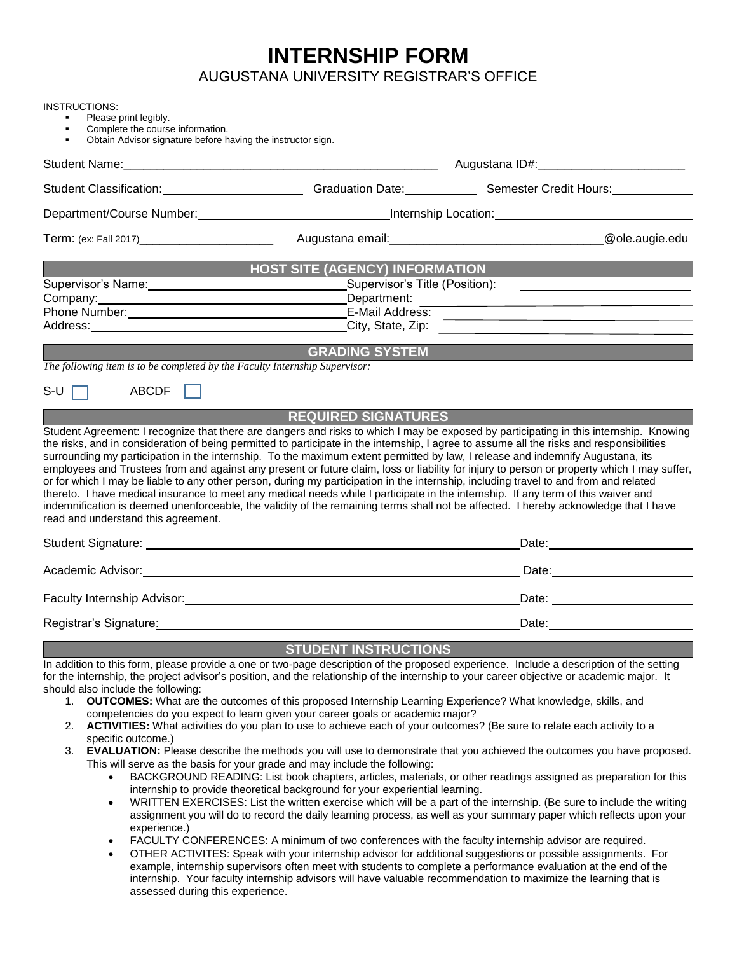## **INTERNSHIP FORM**

AUGUSTANA UNIVERSITY REGISTRAR'S OFFICE

| Obtain Advisor signature before having the instructor sign.                 |                                                                                                                                                                                                                                                                            |                                                                                                                                                                                                                                |  |
|-----------------------------------------------------------------------------|----------------------------------------------------------------------------------------------------------------------------------------------------------------------------------------------------------------------------------------------------------------------------|--------------------------------------------------------------------------------------------------------------------------------------------------------------------------------------------------------------------------------|--|
|                                                                             |                                                                                                                                                                                                                                                                            |                                                                                                                                                                                                                                |  |
|                                                                             |                                                                                                                                                                                                                                                                            | Student Classification: Channel Classification Cate: Classification Date: Classification: Classification: Classification: Classification: Classification: Classification: Classification: Classification: Classification: Clas |  |
|                                                                             |                                                                                                                                                                                                                                                                            | Department/Course Number: National Contract of Contract Countries and Contract Course of Countries and Countries and Countries and Countries and Countries and Countries and Countries and Countries and Countries and Countri |  |
|                                                                             |                                                                                                                                                                                                                                                                            | @ole.augie.edu                                                                                                                                                                                                                 |  |
|                                                                             | <b>HOST SITE (AGENCY) INFORMATION</b>                                                                                                                                                                                                                                      |                                                                                                                                                                                                                                |  |
|                                                                             | Supervisor's Title (Position):                                                                                                                                                                                                                                             |                                                                                                                                                                                                                                |  |
| Company:                                                                    | Department:                                                                                                                                                                                                                                                                |                                                                                                                                                                                                                                |  |
| Phone Number: National Phone Number 2014                                    |                                                                                                                                                                                                                                                                            | <u>-</u><br>E-Mail Address: <u>Carlier Address: Carlier Additional Address: Carlier Additional Address: Carlier Additional Add</u>                                                                                             |  |
|                                                                             |                                                                                                                                                                                                                                                                            | Address: <u>City, State, Zip:</u> City, State, Zip: 2008.                                                                                                                                                                      |  |
|                                                                             | <b>GRADING SYSTEM</b>                                                                                                                                                                                                                                                      |                                                                                                                                                                                                                                |  |
| The following item is to be completed by the Faculty Internship Supervisor: |                                                                                                                                                                                                                                                                            |                                                                                                                                                                                                                                |  |
| $S-U$ $\Box$<br>ABCDF                                                       |                                                                                                                                                                                                                                                                            |                                                                                                                                                                                                                                |  |
|                                                                             | <b>REQUIRED SIGNATURES</b>                                                                                                                                                                                                                                                 |                                                                                                                                                                                                                                |  |
| read and understand this agreement.                                         | or for which I may be liable to any other person, during my participation in the internship, including travel to and from and related<br>thereto. I have medical insurance to meet any medical needs while I participate in the internship. If any term of this waiver and | indemnification is deemed unenforceable, the validity of the remaining terms shall not be affected. I hereby acknowledge that I have                                                                                           |  |
|                                                                             |                                                                                                                                                                                                                                                                            |                                                                                                                                                                                                                                |  |
|                                                                             | Academic Advisor: <u>contract and a series of the series of the series of the series of the series of the series of</u>                                                                                                                                                    |                                                                                                                                                                                                                                |  |
|                                                                             |                                                                                                                                                                                                                                                                            |                                                                                                                                                                                                                                |  |
|                                                                             |                                                                                                                                                                                                                                                                            | Date: <u>Date:</u>                                                                                                                                                                                                             |  |
|                                                                             |                                                                                                                                                                                                                                                                            | Date: the contract of the contract of the contract of the contract of the contract of the contract of the contract of the contract of the contract of the contract of the contract of the contract of the contract of the cont |  |
|                                                                             | <b>STUDENT INSTRUCTIONS</b>                                                                                                                                                                                                                                                | In addition to this form, please provide a one or two-page description of the proposed experience. Include a description of the setting                                                                                        |  |

example, internship supervisors often meet with students to complete a performance evaluation at the end of the internship. Your faculty internship advisors will have valuable recommendation to maximize the learning that is assessed during this experience.